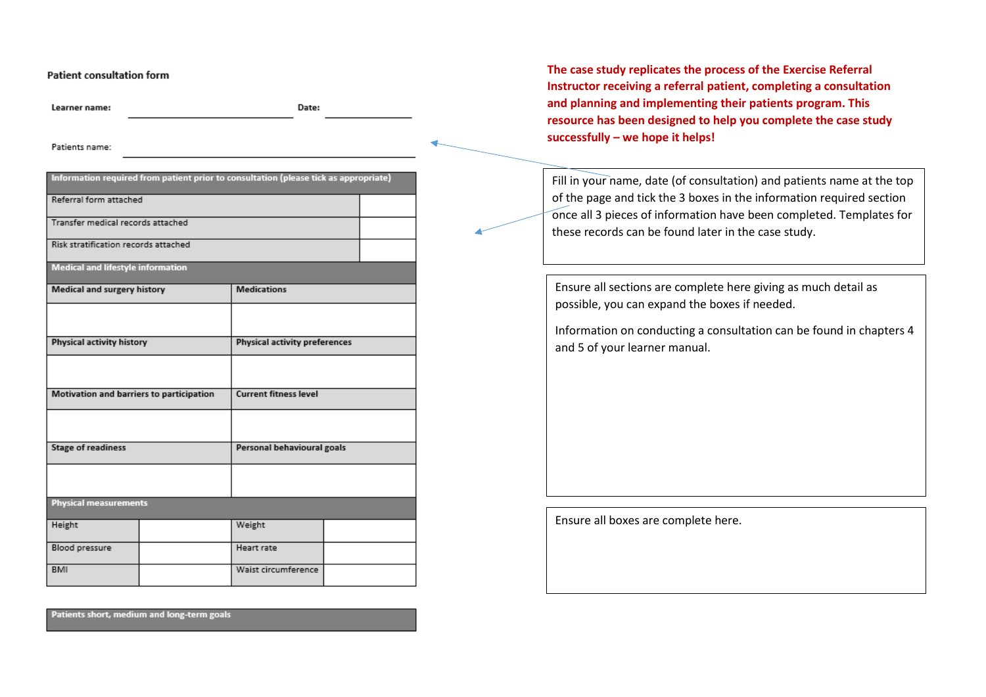## **Patient consultation form**

Learner name:

Date:

Patients name:

| Information required from patient prior to consultation (please tick as appropriate) |  |                               |  |  |  |
|--------------------------------------------------------------------------------------|--|-------------------------------|--|--|--|
| Referral form attached                                                               |  |                               |  |  |  |
| Transfer medical records attached                                                    |  |                               |  |  |  |
| Risk stratification records attached                                                 |  |                               |  |  |  |
| <b>Medical and lifestyle information</b>                                             |  |                               |  |  |  |
| Medical and surgery history                                                          |  | <b>Medications</b>            |  |  |  |
|                                                                                      |  |                               |  |  |  |
| Physical activity history                                                            |  | Physical activity preferences |  |  |  |
|                                                                                      |  |                               |  |  |  |
| Motivation and barriers to participation                                             |  | <b>Current fitness level</b>  |  |  |  |
|                                                                                      |  |                               |  |  |  |
| <b>Stage of readiness</b>                                                            |  | Personal behavioural goals    |  |  |  |
|                                                                                      |  |                               |  |  |  |
| <b>Physical measurements</b>                                                         |  |                               |  |  |  |
| Height                                                                               |  | Weight                        |  |  |  |
| Blood pressure                                                                       |  | Heart rate                    |  |  |  |
| <b>BMI</b>                                                                           |  | Waist circumference           |  |  |  |

Patients short, medium and long-term goals

**The case study replicates the process of the Exercise Referral Instructor receiving a referral patient, completing a consultation and planning and implementing their patients program. This resource has been designed to help you complete the case study successfully – we hope it helps!**

Fill in your name, date (of consultation) and patients name at the top of the page and tick the 3 boxes in the information required section once all 3 pieces of information have been completed. Templates for these records can be found later in the case study.

Ensure all sections are complete here giving as much detail as possible, you can expand the boxes if needed.

Information on conducting a consultation can be found in chapters 4 and 5 of your learner manual.

Ensure all boxes are complete here.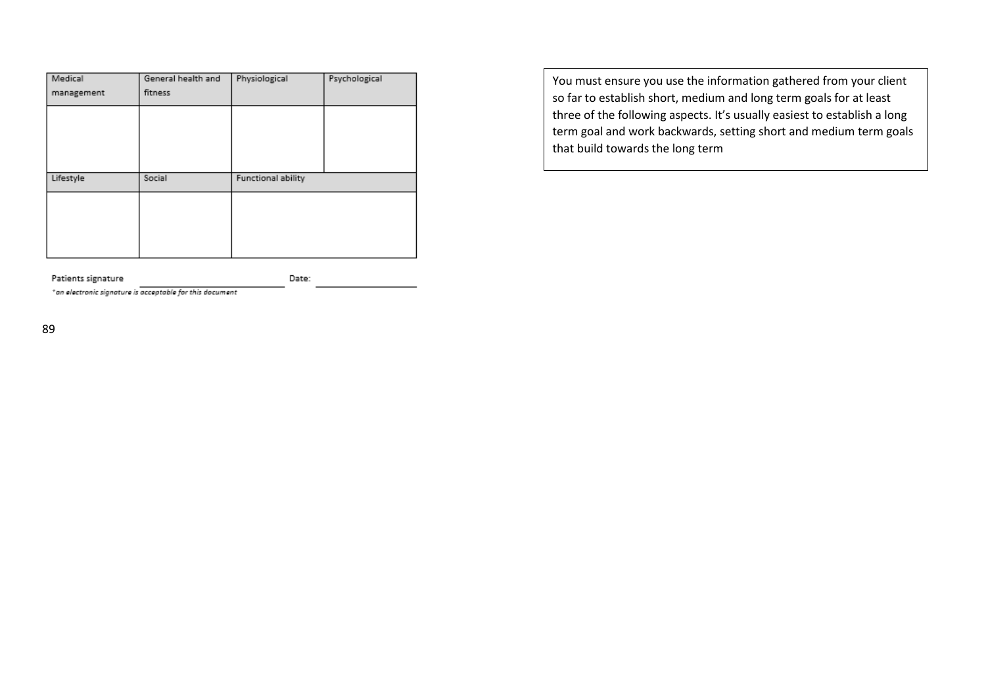| Medical    | General health and | Physiological      | Psychological |
|------------|--------------------|--------------------|---------------|
| management | fitness            |                    |               |
|            |                    |                    |               |
|            |                    |                    |               |
|            |                    |                    |               |
|            | Social             |                    |               |
| Lifestyle  |                    | Functional ability |               |
|            |                    |                    |               |
|            |                    |                    |               |
|            |                    |                    |               |
|            |                    |                    |               |

You must ensure you use the information gathered from your client so far to establish short, medium and long term goals for at least three of the following aspects. It's usually easiest to establish a long term goal and work backwards, setting short and medium term goals that build towards the long term

Patients signature Date:

\*an electronic signature is acceptable for this document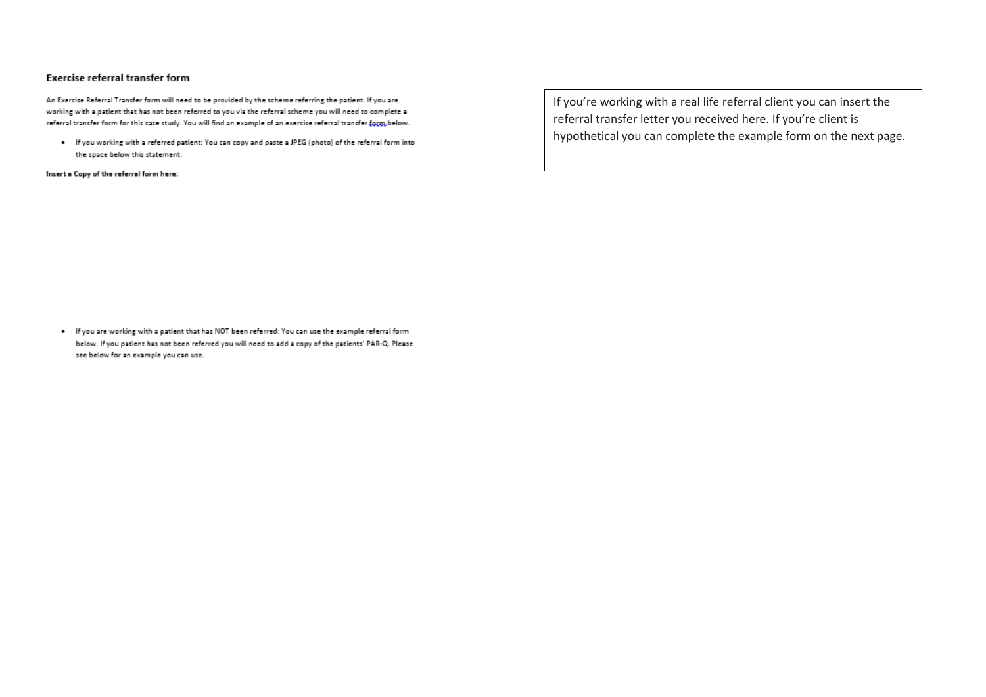## Exercise referral transfer form

An Exercise Referral Transfer form will need to be provided by the scheme referring the patient. If you are working with a patient that has not been referred to you via the referral scheme you will need to complete a referral transfer form for this case study. You will find an example of an exercise referral transfer form below.

. If you working with a referred patient: You can copy and paste a JPEG (photo) of the referral form into the space below this statement.

Insert a Copy of the referral form here:

If you're working with a real life referral client you can insert the referral transfer letter you received here. If you're client is hypothetical you can complete the example form on the next page.

. If you are working with a patient that has NOT been referred: You can use the example referral form below. If you patient has not been referred you will need to add a copy of the patients' PAR-Q. Please see below for an example you can use.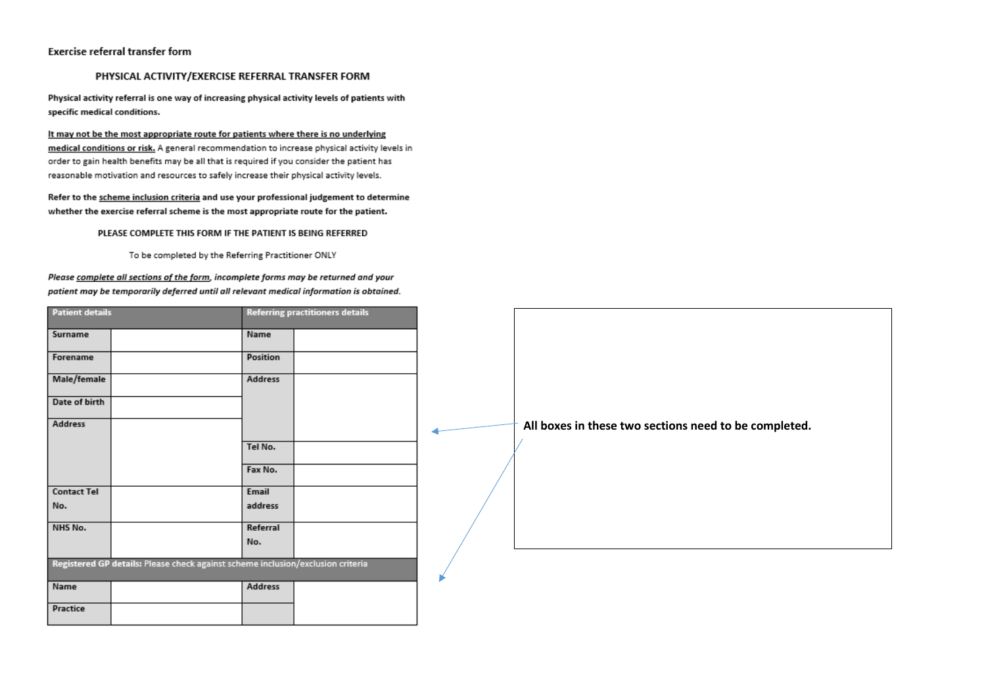## Exercise referral transfer form

## PHYSICAL ACTIVITY/EXERCISE REFERRAL TRANSFER FORM

Physical activity referral is one way of increasing physical activity levels of patients with specific medical conditions.

It may not be the most appropriate route for patients where there is no underlying medical conditions or risk. A general recommendation to increase physical activity levels in order to gain health benefits may be all that is required if you consider the patient has reasonable motivation and resources to safely increase their physical activity levels.

Refer to the scheme inclusion criteria and use your professional judgement to determine whether the exercise referral scheme is the most appropriate route for the patient.

#### PLEASE COMPLETE THIS FORM IF THE PATIENT IS BEING REFERRED

To be completed by the Referring Practitioner ONLY

## Please complete all sections of the form, incomplete forms may be returned and your patient may be temporarily deferred until all relevant medical information is obtained.

| <b>Patient details</b> |                                                                                 |          | <b>Referring practitioners details</b> |                                                       |
|------------------------|---------------------------------------------------------------------------------|----------|----------------------------------------|-------------------------------------------------------|
| Surname                |                                                                                 | Name     |                                        |                                                       |
| Forename               |                                                                                 | Position |                                        |                                                       |
| Male/female            |                                                                                 | Address  |                                        |                                                       |
| Date of birth          |                                                                                 |          |                                        |                                                       |
| Address                |                                                                                 |          |                                        | All boxes in these two sections need to be completed. |
|                        |                                                                                 | Tel No.  |                                        |                                                       |
|                        |                                                                                 | Fax No.  |                                        |                                                       |
| <b>Contact Tel</b>     |                                                                                 | Email    |                                        |                                                       |
| No.                    |                                                                                 | address  |                                        |                                                       |
| NHS No.                |                                                                                 | Referral |                                        |                                                       |
|                        |                                                                                 | No.      |                                        |                                                       |
|                        | Registered GP details: Please check against scheme inclusion/exclusion criteria |          |                                        |                                                       |
| Name                   |                                                                                 | Address  |                                        |                                                       |
| Practice               |                                                                                 |          |                                        |                                                       |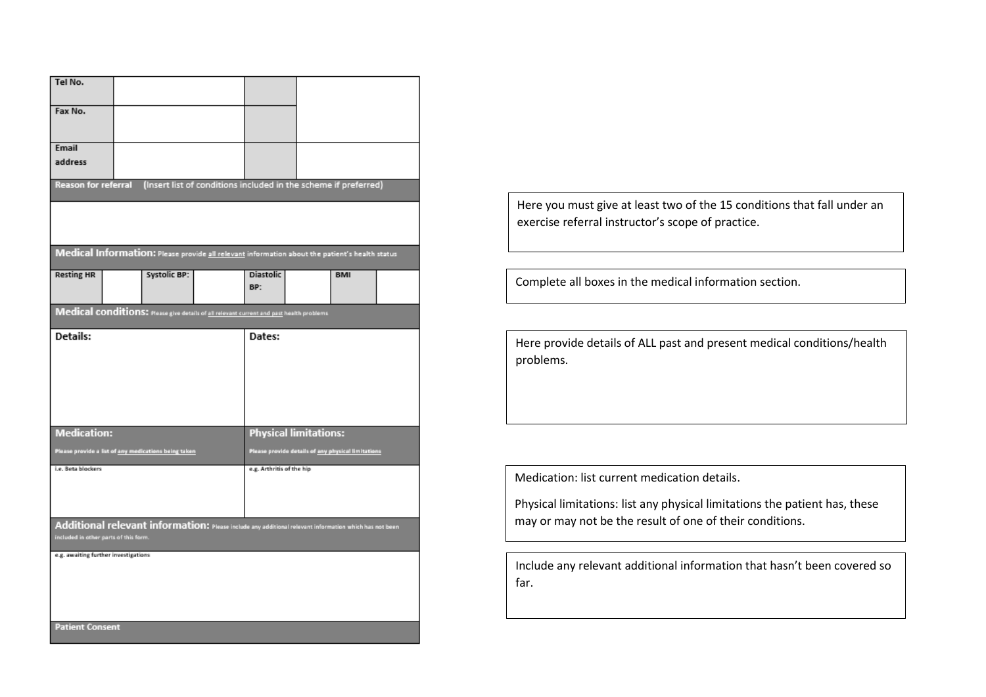| Tel No.                                                                                                                                         |                                                      |                                                                                                |                                                    |            |  |  |
|-------------------------------------------------------------------------------------------------------------------------------------------------|------------------------------------------------------|------------------------------------------------------------------------------------------------|----------------------------------------------------|------------|--|--|
| Fax No.                                                                                                                                         |                                                      |                                                                                                |                                                    |            |  |  |
| Email<br>address                                                                                                                                |                                                      |                                                                                                |                                                    |            |  |  |
| <b>Reason for referral</b>                                                                                                                      |                                                      | (Insert list of conditions included in the scheme if preferred)                                |                                                    |            |  |  |
|                                                                                                                                                 |                                                      |                                                                                                |                                                    |            |  |  |
|                                                                                                                                                 |                                                      | Medical Information: Please provide all relevant information about the patient's health status |                                                    |            |  |  |
| <b>Resting HR</b>                                                                                                                               | <b>Systolic BP:</b>                                  | <b>Diastolic</b><br>BP:                                                                        |                                                    | <b>BMI</b> |  |  |
|                                                                                                                                                 |                                                      | Medical conditions: Mease give details of all relevant current and past health problems        |                                                    |            |  |  |
| Details:<br>Dates:                                                                                                                              |                                                      |                                                                                                |                                                    |            |  |  |
| <b>Medication:</b>                                                                                                                              |                                                      |                                                                                                | <b>Physical limitations:</b>                       |            |  |  |
|                                                                                                                                                 | Please provide a list of any medications being taken |                                                                                                | Please provide details of any physical limitations |            |  |  |
| i.e. Beta blockers<br>e.g. Arthritis of the hip                                                                                                 |                                                      |                                                                                                |                                                    |            |  |  |
| Additional relevant information: Please include any additional relevant information which has not been<br>included in other parts of this form. |                                                      |                                                                                                |                                                    |            |  |  |
| e.g. awaiting further investigations                                                                                                            |                                                      |                                                                                                |                                                    |            |  |  |
| <b>Patient Consent</b>                                                                                                                          |                                                      |                                                                                                |                                                    |            |  |  |

Here you must give at least two of the 15 conditions that fall under an exercise referral instructor's scope of practice.

Complete all boxes in the medical information section.

Here provide details of ALL past and present medical conditions/health problems.

Medication: list current medication details.

Physical limitations: list any physical limitations the patient has, these may or may not be the result of one of their conditions.

Include any relevant additional information that hasn't been covered so far.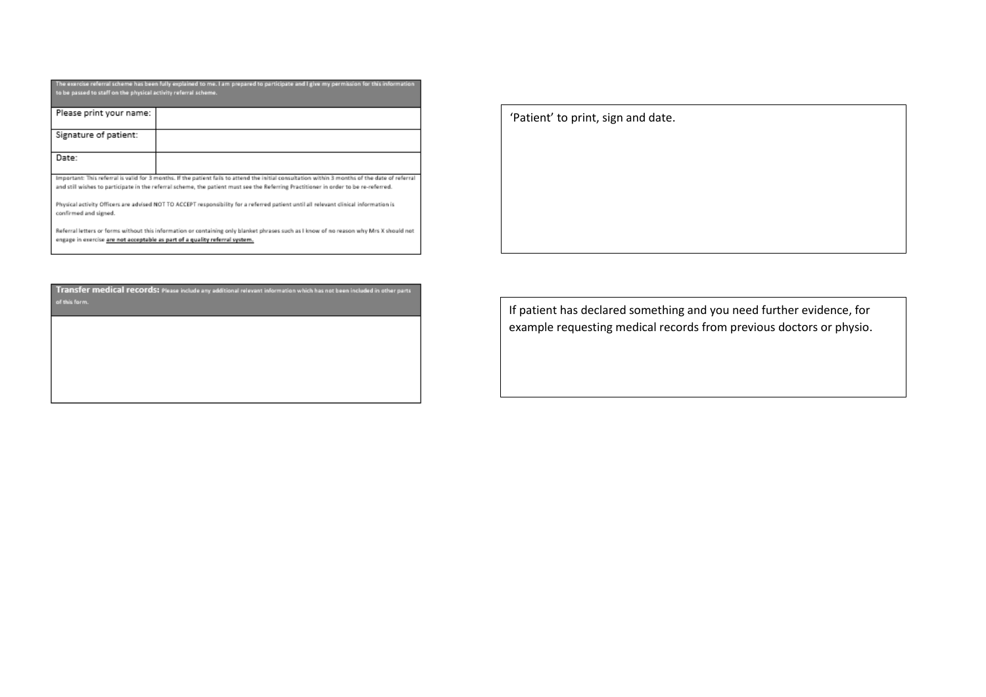| to be passed to staff on the physical activity referral scheme.<br>Please print your name:<br>Signature of patient:<br>Date:<br>Important: This referral is valid for 3 months. If the patient fails to attend the initial consultation within 3 months of the date of referral<br>and still wishes to participate in the referral scheme, the patient must see the Referring Practitioner in order to be re-referred.<br>Physical activity Officers are advised NOT TO ACCEPT responsibility for a referred patient until all relevant clinical information is<br>confirmed and signed. | The exercise referral scheme has been fully explained to me. I am prepared to participate and I give my permission for this information |  |  |  |  |
|------------------------------------------------------------------------------------------------------------------------------------------------------------------------------------------------------------------------------------------------------------------------------------------------------------------------------------------------------------------------------------------------------------------------------------------------------------------------------------------------------------------------------------------------------------------------------------------|-----------------------------------------------------------------------------------------------------------------------------------------|--|--|--|--|
|                                                                                                                                                                                                                                                                                                                                                                                                                                                                                                                                                                                          |                                                                                                                                         |  |  |  |  |
|                                                                                                                                                                                                                                                                                                                                                                                                                                                                                                                                                                                          |                                                                                                                                         |  |  |  |  |
|                                                                                                                                                                                                                                                                                                                                                                                                                                                                                                                                                                                          |                                                                                                                                         |  |  |  |  |
|                                                                                                                                                                                                                                                                                                                                                                                                                                                                                                                                                                                          |                                                                                                                                         |  |  |  |  |
|                                                                                                                                                                                                                                                                                                                                                                                                                                                                                                                                                                                          |                                                                                                                                         |  |  |  |  |
|                                                                                                                                                                                                                                                                                                                                                                                                                                                                                                                                                                                          |                                                                                                                                         |  |  |  |  |
|                                                                                                                                                                                                                                                                                                                                                                                                                                                                                                                                                                                          |                                                                                                                                         |  |  |  |  |
|                                                                                                                                                                                                                                                                                                                                                                                                                                                                                                                                                                                          |                                                                                                                                         |  |  |  |  |
|                                                                                                                                                                                                                                                                                                                                                                                                                                                                                                                                                                                          |                                                                                                                                         |  |  |  |  |
|                                                                                                                                                                                                                                                                                                                                                                                                                                                                                                                                                                                          |                                                                                                                                         |  |  |  |  |
|                                                                                                                                                                                                                                                                                                                                                                                                                                                                                                                                                                                          |                                                                                                                                         |  |  |  |  |
|                                                                                                                                                                                                                                                                                                                                                                                                                                                                                                                                                                                          |                                                                                                                                         |  |  |  |  |
|                                                                                                                                                                                                                                                                                                                                                                                                                                                                                                                                                                                          |                                                                                                                                         |  |  |  |  |
|                                                                                                                                                                                                                                                                                                                                                                                                                                                                                                                                                                                          |                                                                                                                                         |  |  |  |  |
|                                                                                                                                                                                                                                                                                                                                                                                                                                                                                                                                                                                          |                                                                                                                                         |  |  |  |  |
|                                                                                                                                                                                                                                                                                                                                                                                                                                                                                                                                                                                          |                                                                                                                                         |  |  |  |  |
|                                                                                                                                                                                                                                                                                                                                                                                                                                                                                                                                                                                          |                                                                                                                                         |  |  |  |  |
|                                                                                                                                                                                                                                                                                                                                                                                                                                                                                                                                                                                          |                                                                                                                                         |  |  |  |  |
| Referral letters or forms without this information or containing only blanket phrases such as I know of no reason why Mrs X should not                                                                                                                                                                                                                                                                                                                                                                                                                                                   |                                                                                                                                         |  |  |  |  |
| engage in exercise are not acceptable as part of a quality referral system.                                                                                                                                                                                                                                                                                                                                                                                                                                                                                                              |                                                                                                                                         |  |  |  |  |

| of this form. | Transfer medical records: Please include any additional relevant information which has not been included in other parts |
|---------------|-------------------------------------------------------------------------------------------------------------------------|
|               |                                                                                                                         |
|               |                                                                                                                         |
|               |                                                                                                                         |

'Patient' to print, sign and date.

If patient has declared something and you need further evidence, for example requesting medical records from previous doctors or physio.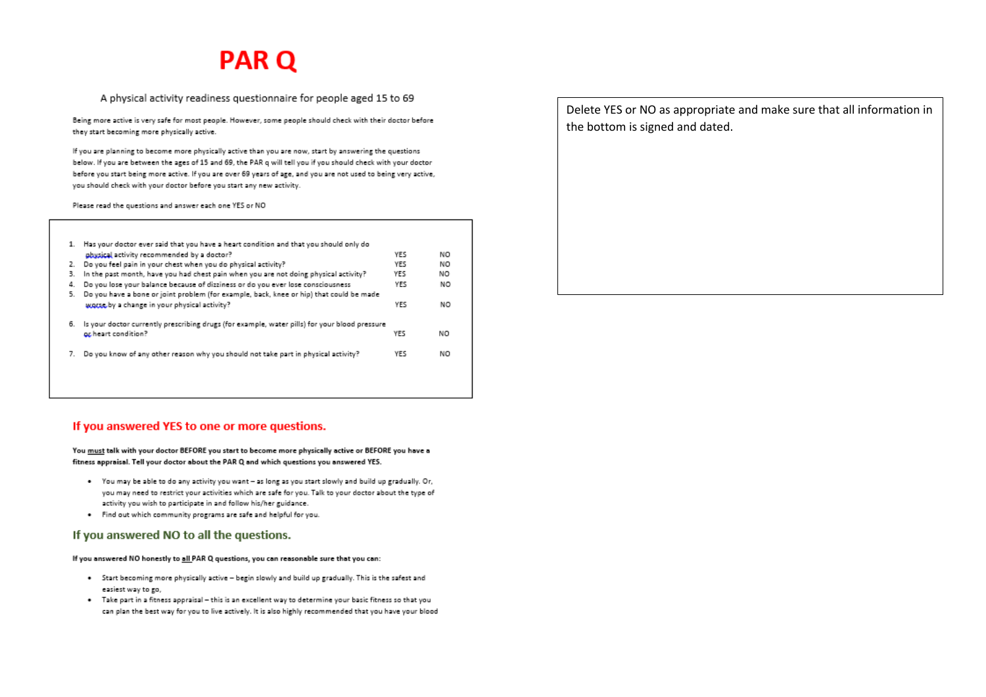# **PAR Q**

## A physical activity readiness questionnaire for people aged 15 to 69

Being more active is very safe for most people. However, some people should check with their doctor before they start becoming more physically active.

If you are planning to become more physically active than you are now, start by answering the questions below. If you are between the ages of 15 and 69, the PAR q will tell you if you should check with your doctor before you start being more active. If you are over 69 years of age, and you are not used to being very active, you should check with your doctor before you start any new activity.

Please read the questions and answer each one YES or NO

|    | 1. Has your doctor ever said that you have a heart condition and that you should only do      |            |     |
|----|-----------------------------------------------------------------------------------------------|------------|-----|
|    | physical activity recommended by a doctor?                                                    | <b>YES</b> | NΟ  |
| 2. | Do you feel pain in your chest when you do physical activity?                                 | YES        | NΟ  |
| з. | In the past month, have you had chest pain when you are not doing physical activity?          | YES        | NO  |
| 4. | Do you lose your balance because of dizziness or do you ever lose consciousness               | YES        | NO  |
| 5. | Do you have a bone or joint problem (for example, back, knee or hip) that could be made       |            |     |
|    | worse by a change in your physical activity?                                                  | YES        | NO. |
| 6. | is your doctor currently prescribing drugs (for example, water pills) for your blood pressure |            |     |
|    | or heart condition?                                                                           | YES        | NΟ  |
|    | Do you know of any other reason why you should not take part in physical activity?            | YES        | NO  |
|    |                                                                                               |            |     |
|    |                                                                                               |            |     |
|    |                                                                                               |            |     |

If you answered YES to one or more questions.

#### You must talk with your doctor BEFORE you start to become more physically active or BEFORE you have a fitness appraisal. Tell your doctor about the PAR Q and which questions you answered YES.

- . You may be able to do any activity you want as long as you start slowly and build up gradually. Or, you may need to restrict your activities which are safe for you. Talk to your doctor about the type of activity you wish to participate in and follow his/her guidance.
- . Find out which community programs are safe and helpful for you.

## If you answered NO to all the questions.

If you answered NO honestly to all PAR Q questions, you can reasonable sure that you can:

- . Start becoming more physically active begin slowly and build up gradually. This is the safest and easiest way to go,
- . Take part in a fitness appraisal this is an excellent way to determine your basic fitness so that you can plan the best way for you to live actively. It is also highly recommended that you have your blood

Delete YES or NO as appropriate and make sure that all information in the bottom is signed and dated.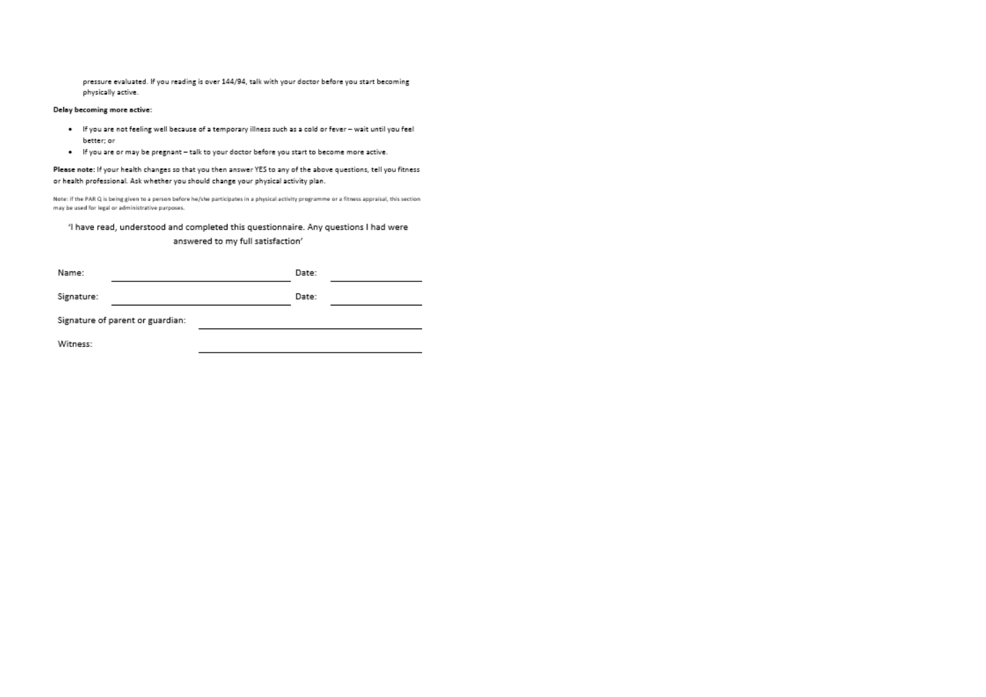pressure evaluated. If you reading is over 144/94, talk with your doctor before you start becoming physically active.

#### Delay becoming more active:

- . If you are not feeling well because of a temporary illness such as a cold or fever wait until you feel better; or
- . If you are or may be pregnant talk to your doctor before you start to become more active.

Please note: If your health changes so that you then answer YES to any of the above questions, tell you fitness or health professional. Ask whether you should change your physical activity plan.

Note: if the PAR Q is being given to a person before he/she participates in a physical activity programme or a fitness appraisal, this section may be used for legal or administrative purposes.

## 'l have read, understood and completed this questionnaire. Any questions I had were answered to my full satisfaction'

| Name:                            |  |  | Date: |  |
|----------------------------------|--|--|-------|--|
| Signature:                       |  |  | Date: |  |
| Signature of parent or guardian: |  |  |       |  |
| Witness:                         |  |  |       |  |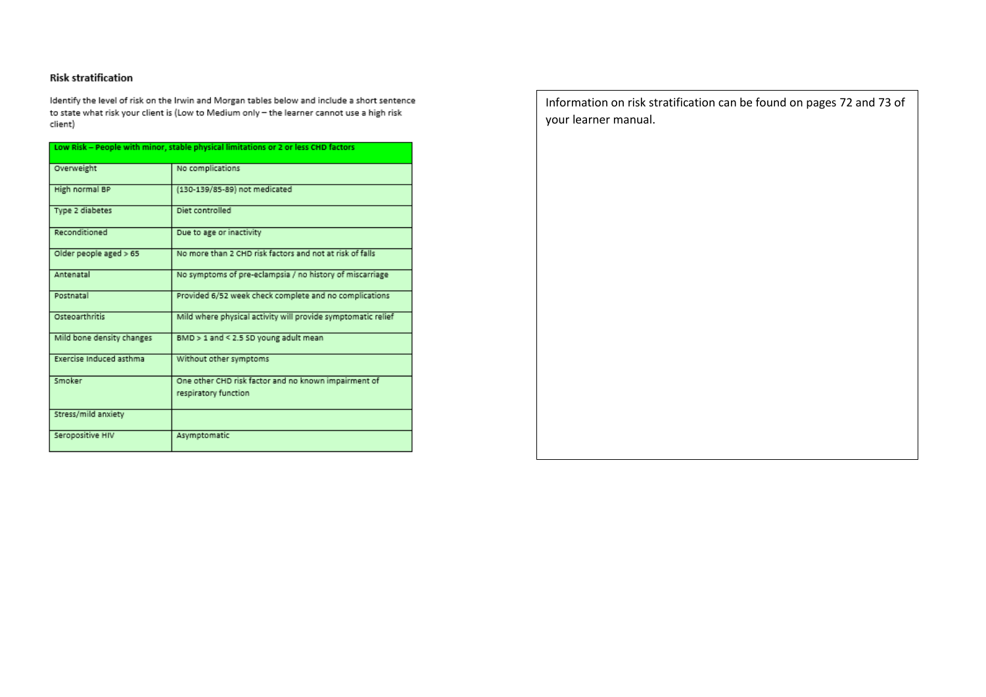# **Risk stratification**

Identify the level of risk on the Irwin and Morgan tables below and include a short sentence to state what risk your client is (Low to Medium only - the learner cannot use a high risk client)

| Low Risk - People with minor, stable physical limitations or 2 or less CHD factors |                                                                              |  |  |
|------------------------------------------------------------------------------------|------------------------------------------------------------------------------|--|--|
| Overweight                                                                         | No complications                                                             |  |  |
| High normal BP                                                                     | (130-139/85-89) not medicated                                                |  |  |
| Type 2 diabetes                                                                    | Diet controlled                                                              |  |  |
| Reconditioned                                                                      | Due to age or inactivity                                                     |  |  |
| Older people aged > 65                                                             | No more than 2 CHD risk factors and not at risk of falls.                    |  |  |
| Antenatal                                                                          | No symptoms of pre-eclampsia / no history of miscarriage                     |  |  |
| Postnatal                                                                          | Provided 6/52 week check complete and no complications                       |  |  |
| Osteoarthritis                                                                     | Mild where physical activity will provide symptomatic relief                 |  |  |
| Mild bone density changes                                                          | BMD > 1 and < 2.5 SD young adult mean                                        |  |  |
| Exercise Induced asthma                                                            | Without other symptoms                                                       |  |  |
| Smoker                                                                             | One other CHD risk factor and no known impairment of<br>respiratory function |  |  |
| Stress/mild anxiety                                                                |                                                                              |  |  |
| Seropositive HIV                                                                   | Asymptomatic                                                                 |  |  |

Information on risk stratification can be found on pages 72 and 73 of your learner manual.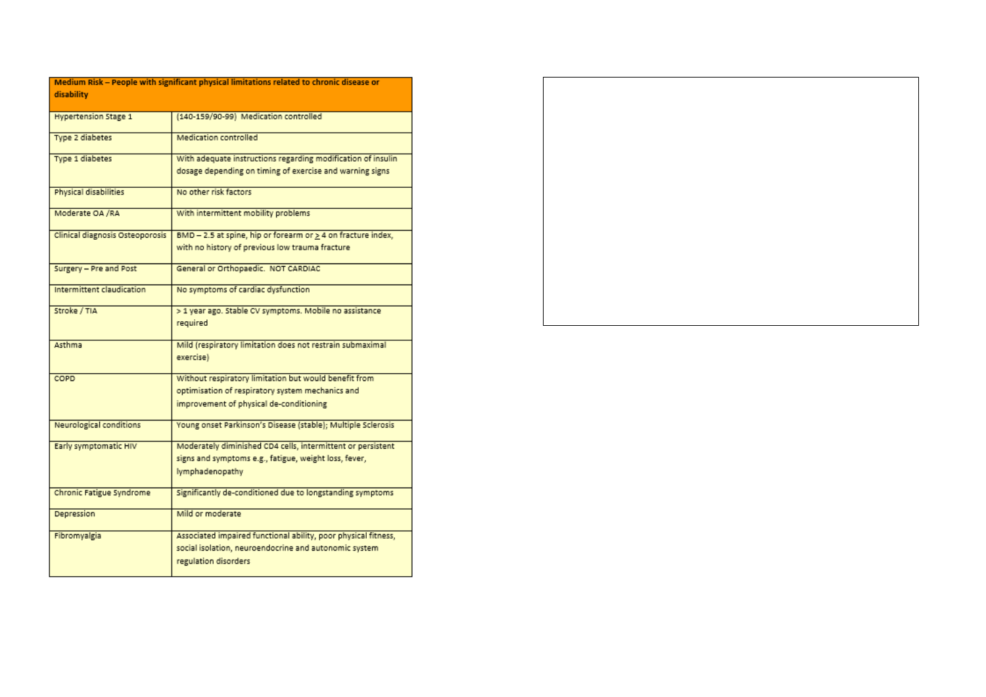| disability                      | Medium Risk - People with significant physical limitations related to chronic disease or |
|---------------------------------|------------------------------------------------------------------------------------------|
| <b>Hypertension Stage 1</b>     | (140-159/90-99) Medication controlled                                                    |
|                                 |                                                                                          |
| Type 2 diabetes                 | Medication controlled                                                                    |
| Type 1 diabetes                 | With adequate instructions regarding modification of insulin                             |
|                                 | dosage depending on timing of exercise and warning signs                                 |
| Physical disabilities           | No other risk factors                                                                    |
| Moderate OA /RA                 | With intermittent mobility problems                                                      |
| Clinical diagnosis Osteoporosis | BMD - 2.5 at spine, hip or forearm or > 4 on fracture index,                             |
|                                 | with no history of previous low trauma fracture                                          |
| Surgery - Pre and Post          | General or Orthopaedic. NOT CARDIAC                                                      |
| Intermittent claudication       | No symptoms of cardiac dysfunction                                                       |
| Stroke / TIA                    | > 1 year ago. Stable CV symptoms. Mobile no assistance                                   |
|                                 | required                                                                                 |
| Asthma                          | Mild (respiratory limitation does not restrain submaximal                                |
|                                 | exercise)                                                                                |
| COPD                            | Without respiratory limitation but would benefit from                                    |
|                                 | optimisation of respiratory system mechanics and                                         |
|                                 | improvement of physical de-conditioning                                                  |
| <b>Neurological conditions</b>  | Young onset Parkinson's Disease (stable); Multiple Sclerosis                             |
| Early symptomatic HIV           | Moderately diminished CD4 cells, intermittent or persistent                              |
|                                 | signs and symptoms e.g., fatigue, weight loss, fever,                                    |
|                                 | lymphadenopathy                                                                          |
| Chronic Fatigue Syndrome        | Significantly de-conditioned due to longstanding symptoms                                |
| Depression                      | Mild or moderate                                                                         |
| Fibromyalgia                    | Associated impaired functional ability, poor physical fitness,                           |
|                                 | social isolation, neuroendocrine and autonomic system                                    |
|                                 | regulation disorders                                                                     |

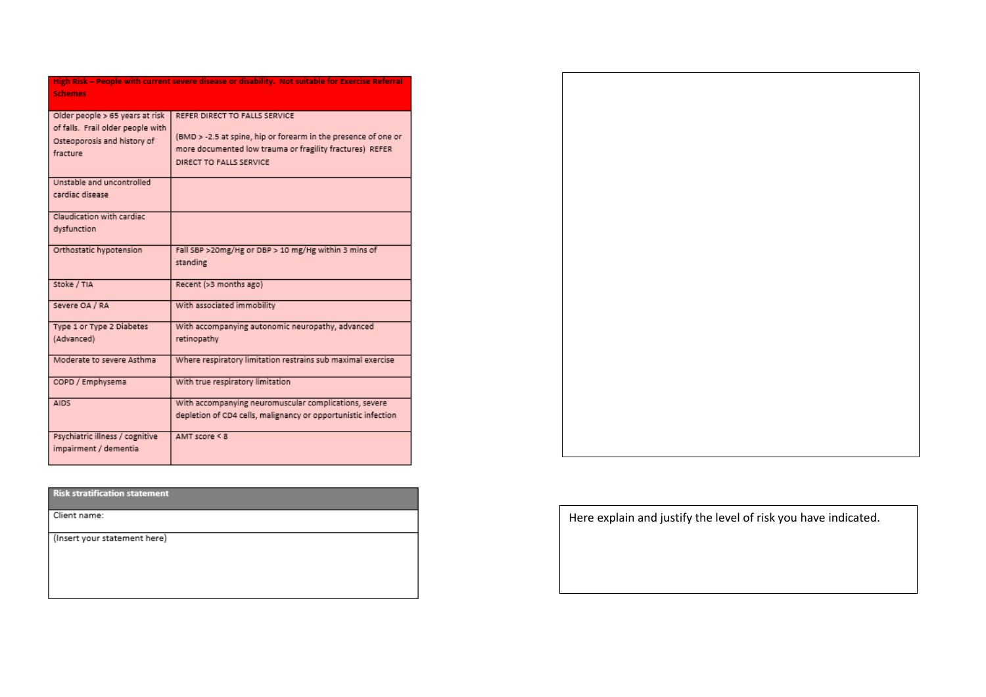| <b>Schemes</b>                                                                                                  | <u>high Risk – People with current severe disease or disability. Not suitable for exercise Referral</u>                                                                                |
|-----------------------------------------------------------------------------------------------------------------|----------------------------------------------------------------------------------------------------------------------------------------------------------------------------------------|
| Older people > 65 years at risk<br>of falls. Frail older people with<br>Osteoporosis and history of<br>fracture | REFER DIRECT TO FALLS SERVICE<br>(BMD > -2.5 at spine, hip or forearm in the presence of one or<br>more documented low trauma or fragility fractures) REFER<br>DIRECT TO FALLS SERVICE |
| Unstable and uncontrolled<br>cardiac disease                                                                    |                                                                                                                                                                                        |
| Claudication with cardiac<br>dysfunction                                                                        |                                                                                                                                                                                        |
| Orthostatic hypotension                                                                                         | Fall SBP >20mg/Hg or DBP > 10 mg/Hg within 3 mins of<br>standing                                                                                                                       |
| Stoke / TIA                                                                                                     | Recent (>3 months ago)                                                                                                                                                                 |
| Severe OA / RA                                                                                                  | With associated immobility                                                                                                                                                             |
| Type 1 or Type 2 Diabetes<br>(Advanced)                                                                         | With accompanying autonomic neuropathy, advanced<br>retinopathy                                                                                                                        |
| Moderate to severe Asthma                                                                                       | Where respiratory limitation restrains sub maximal exercise                                                                                                                            |
| COPD / Emphysema                                                                                                | With true respiratory limitation                                                                                                                                                       |
| <b>AIDS</b>                                                                                                     | With accompanying neuromuscular complications, severe<br>depletion of CD4 cells, malignancy or opportunistic infection                                                                 |
| Psychiatric illness / cognitive<br>impairment / dementia                                                        | AMT score $\leq 8$                                                                                                                                                                     |

## **Risk stratification statement**

Client name:

(Insert your statement here)



Here explain and justify the level of risk you have indicated.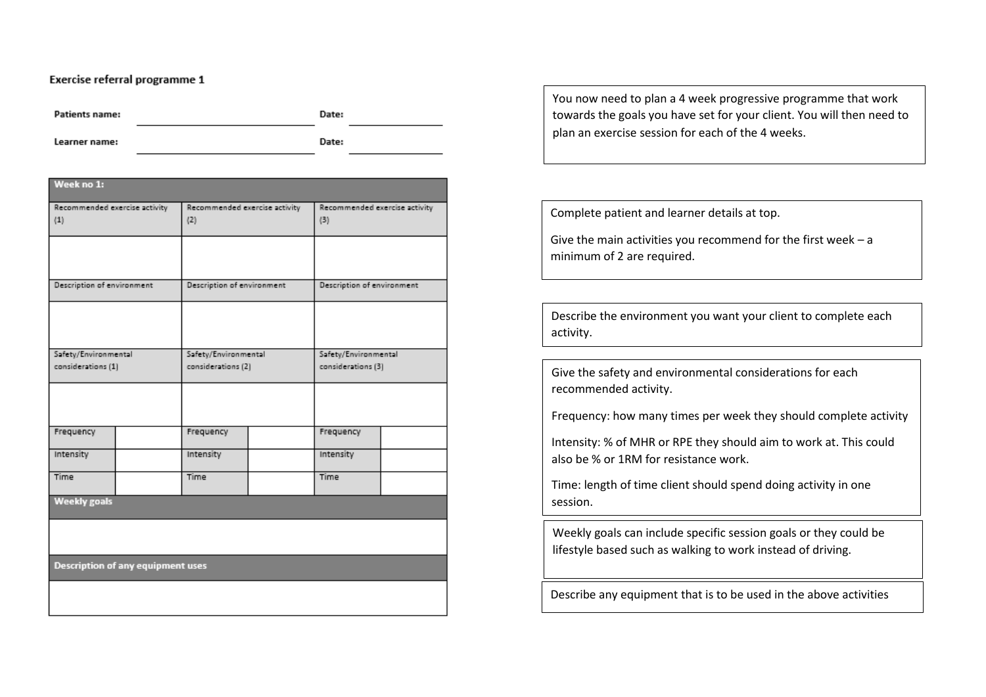## Exercise referral programme 1

**Patients name:** 

Date:

Learner name:

Date:

| Week no 1:                           |  |                                      |  |                                      |  |  |
|--------------------------------------|--|--------------------------------------|--|--------------------------------------|--|--|
| Recommended exercise activity<br>(1) |  | Recommended exercise activity<br>(2) |  | Recommended exercise activity<br>(3) |  |  |
|                                      |  |                                      |  |                                      |  |  |
| Description of environment           |  | Description of environment           |  | Description of environment           |  |  |
|                                      |  |                                      |  |                                      |  |  |
| Safety/Environmental                 |  | Safety/Environmental                 |  | Safety/Environmental                 |  |  |
| considerations (1)                   |  | considerations (2)                   |  | considerations (3)                   |  |  |
|                                      |  |                                      |  |                                      |  |  |
| Frequency                            |  | Frequency                            |  | Frequency                            |  |  |
| Intensity                            |  | Intensity                            |  | Intensity                            |  |  |
| Time                                 |  | Time                                 |  | Time                                 |  |  |
| <b>Weekly goals</b>                  |  |                                      |  |                                      |  |  |
|                                      |  |                                      |  |                                      |  |  |
| Description of any equipment uses    |  |                                      |  |                                      |  |  |
|                                      |  |                                      |  |                                      |  |  |

You now need to plan a 4 week progressive programme that work towards the goals you have set for your client. You will then need to plan an exercise session for each of the 4 weeks.

Complete patient and learner details at top.

Give the main activities you recommend for the first week – a minimum of 2 are required.

Describe the environment you want your client to complete each activity.

Give the safety and environmental considerations for each recommended activity.

Frequency: how many times per week they should complete activity

Intensity: % of MHR or RPE they should aim to work at. This could also be % or 1RM for resistance work.

Time: length of time client should spend doing activity in one session.

Weekly goals can include specific session goals or they could be lifestyle based such as walking to work instead of driving.

Describe any equipment that is to be used in the above activities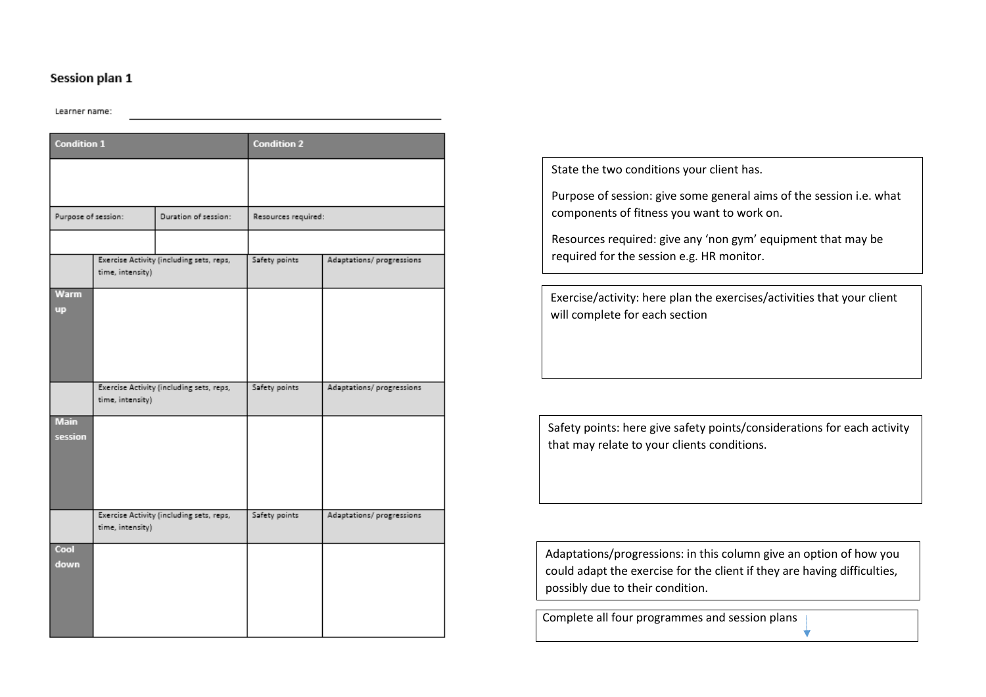# Session plan 1

#### Learner name:

| <b>Condition 1</b>       |                  |                                          | <b>Condition 2</b>  |                           |
|--------------------------|------------------|------------------------------------------|---------------------|---------------------------|
|                          |                  |                                          |                     |                           |
| Purpose of session:      |                  | Duration of session:                     | Resources required: |                           |
|                          |                  |                                          |                     |                           |
|                          | time, intensity) | Exercise Activity (including sets, reps, | Safety points       | Adaptations/ progressions |
| <b>Warm</b><br><b>up</b> |                  |                                          |                     |                           |
|                          | time, intensity) | Exercise Activity (including sets, reps, | Safety points       | Adaptations/ progressions |
| <b>Main</b><br>session   |                  |                                          |                     |                           |
|                          | time, intensity) | Exercise Activity (including sets, reps, | Safety points       | Adaptations/progressions  |
| Cool<br>down             |                  |                                          |                     |                           |

State the two conditions your client has.

Purpose of session: give some general aims of the session i.e. what components of fitness you want to work on.

Resources required: give any 'non gym' equipment that may be required for the session e.g. HR monitor.

Exercise/activity: here plan the exercises/activities that your client will complete for each section

Safety points: here give safety points/considerations for each activity that may relate to your clients conditions.

Adaptations/progressions: in this column give an option of how you could adapt the exercise for the client if they are having difficulties, possibly due to their condition.

Complete all four programmes and session plans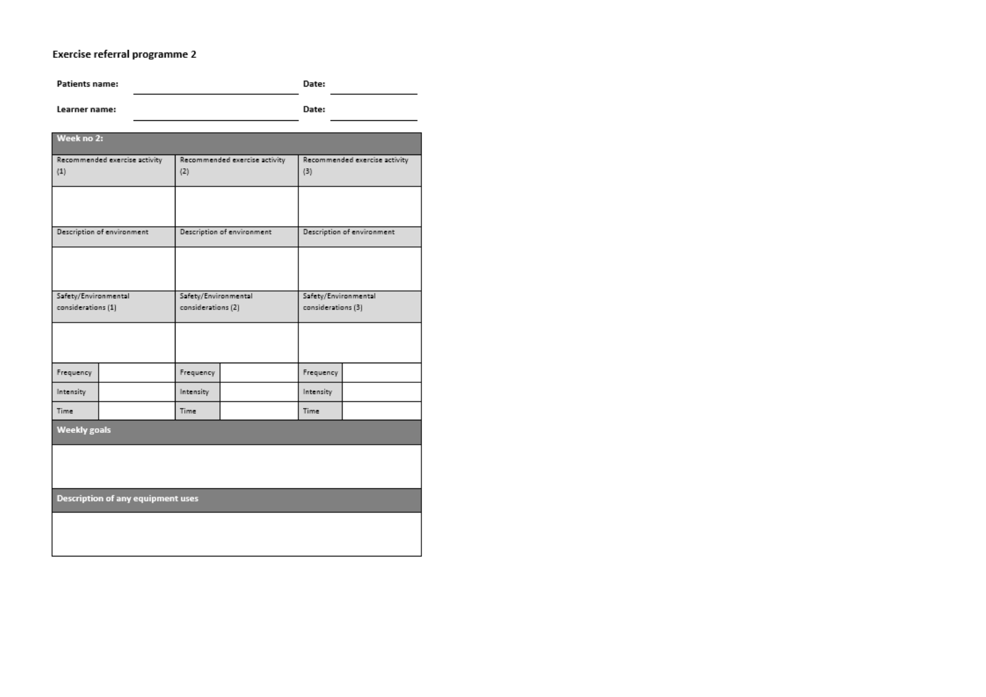# Exercise referral programme 2

| <b>Patients name:</b>                      |                                          |                    |                               | Date:     |                                            |  |
|--------------------------------------------|------------------------------------------|--------------------|-------------------------------|-----------|--------------------------------------------|--|
| Learner name:                              |                                          | Date:              |                               |           |                                            |  |
| Week no 2:                                 |                                          |                    |                               |           |                                            |  |
| Recommended exercise activity<br>(1)       |                                          | (2)                | Recommended exercise activity |           | Recommended exercise activity              |  |
|                                            |                                          |                    |                               |           |                                            |  |
|                                            | Description of environment               |                    | Description of environment    |           | Description of environment                 |  |
|                                            |                                          |                    |                               |           |                                            |  |
| Safety/Environmental<br>considerations (1) |                                          |                    | Safety/Environmental          |           | Safety/Environmental<br>considerations (3) |  |
|                                            |                                          | considerations (2) |                               |           |                                            |  |
|                                            |                                          |                    |                               |           |                                            |  |
| Frequency                                  |                                          | Frequency          |                               | Frequency |                                            |  |
| Intensity                                  |                                          | Intensity          |                               | Intensity |                                            |  |
| Time                                       |                                          | Time               |                               | Time      |                                            |  |
| <b>Weekly goals</b>                        |                                          |                    |                               |           |                                            |  |
|                                            |                                          |                    |                               |           |                                            |  |
|                                            | <b>Description of any equipment uses</b> |                    |                               |           |                                            |  |
|                                            |                                          |                    |                               |           |                                            |  |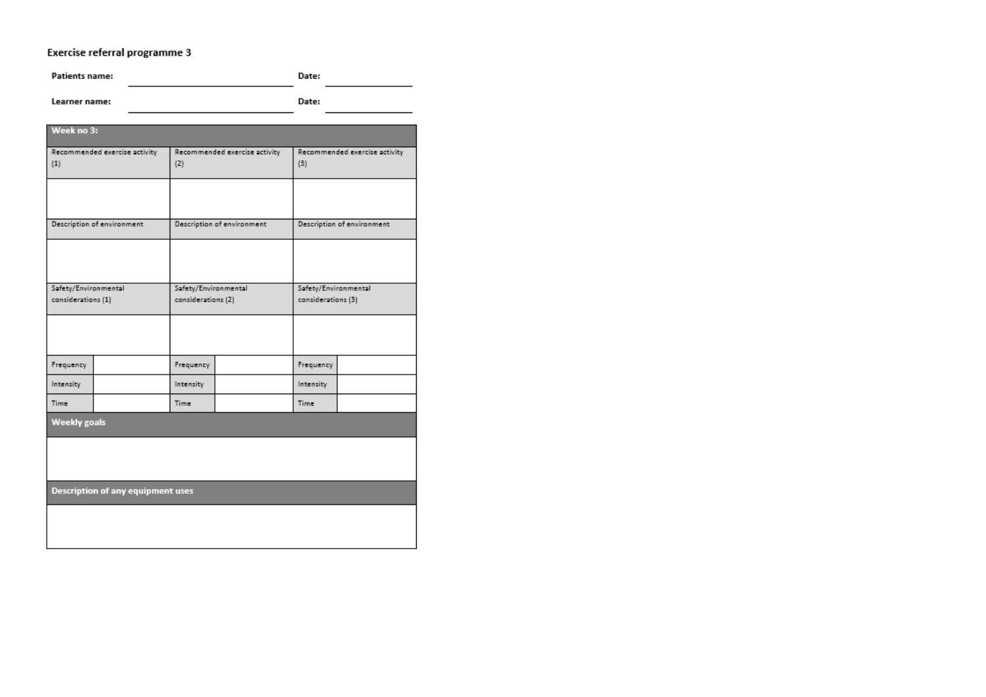# Exercise referral programme 3

Patients name: Date:

Learner name: Date:

| Week no 3:                                 |                                          |                                            |                               |                                            |                               |  |
|--------------------------------------------|------------------------------------------|--------------------------------------------|-------------------------------|--------------------------------------------|-------------------------------|--|
| Recommended exercise activity<br>(1)       |                                          | (2)                                        | Recommended exercise activity | (3)                                        | Recommended exercise activity |  |
|                                            |                                          |                                            |                               |                                            |                               |  |
| Description of environment                 |                                          |                                            | Description of environment    |                                            | Description of environment    |  |
|                                            |                                          |                                            |                               |                                            |                               |  |
| Safety/Environmental<br>considerations (1) |                                          | Safety/Environmental<br>considerations (2) |                               | Safety/Environmental<br>considerations (3) |                               |  |
|                                            |                                          |                                            |                               |                                            |                               |  |
| Frequency                                  |                                          | Frequency                                  |                               | Frequency                                  |                               |  |
| Intensity                                  |                                          | Intensity                                  |                               | Intensity                                  |                               |  |
| Time                                       |                                          | Time                                       |                               | Time                                       |                               |  |
| <b>Weekly goals</b>                        |                                          |                                            |                               |                                            |                               |  |
|                                            |                                          |                                            |                               |                                            |                               |  |
|                                            | <b>Description of any equipment uses</b> |                                            |                               |                                            |                               |  |
|                                            |                                          |                                            |                               |                                            |                               |  |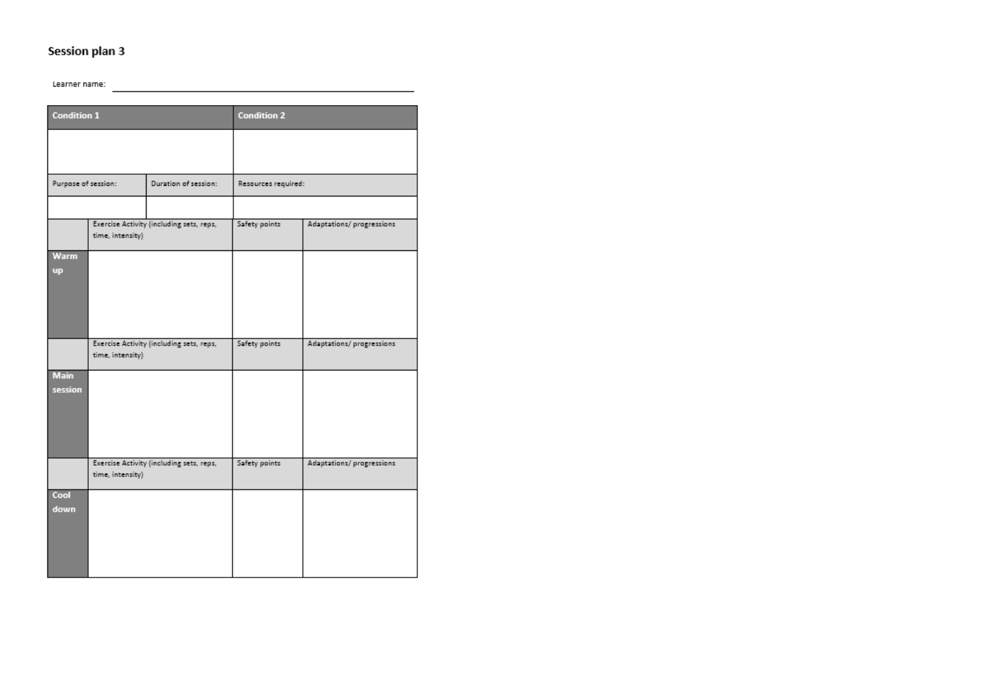# Session plan 3

Learner name:

| <b>Condition 1</b>  |                  |                                          | <b>Condition 2</b>  |                           |  |
|---------------------|------------------|------------------------------------------|---------------------|---------------------------|--|
|                     |                  |                                          |                     |                           |  |
|                     |                  |                                          |                     |                           |  |
| Purpose of session: |                  | Duration of session:                     | Resources required: |                           |  |
|                     |                  |                                          |                     |                           |  |
|                     | time, intensity) | Exercise Activity (including sets, reps, | Safety points       | Adaptations/ progressions |  |
| Warm                |                  |                                          |                     |                           |  |
| <b>up</b>           |                  |                                          |                     |                           |  |
|                     |                  |                                          |                     |                           |  |
|                     |                  |                                          |                     |                           |  |
|                     |                  |                                          |                     |                           |  |
|                     |                  |                                          |                     |                           |  |
|                     | time, intensity) | Exercise Activity (including sets, reps, | Safety points       | Adaptations/progressions  |  |
|                     |                  |                                          |                     |                           |  |
| <b>Main</b>         |                  |                                          |                     |                           |  |
| session             |                  |                                          |                     |                           |  |
|                     |                  |                                          |                     |                           |  |
|                     |                  |                                          |                     |                           |  |
|                     |                  |                                          |                     |                           |  |
|                     |                  |                                          |                     |                           |  |
|                     | time, intensity) | Exercise Activity (including sets, reps, | Safety points       | Adaptations/ progressions |  |
|                     |                  |                                          |                     |                           |  |
| Cool                |                  |                                          |                     |                           |  |
| down                |                  |                                          |                     |                           |  |
|                     |                  |                                          |                     |                           |  |
|                     |                  |                                          |                     |                           |  |
|                     |                  |                                          |                     |                           |  |
|                     |                  |                                          |                     |                           |  |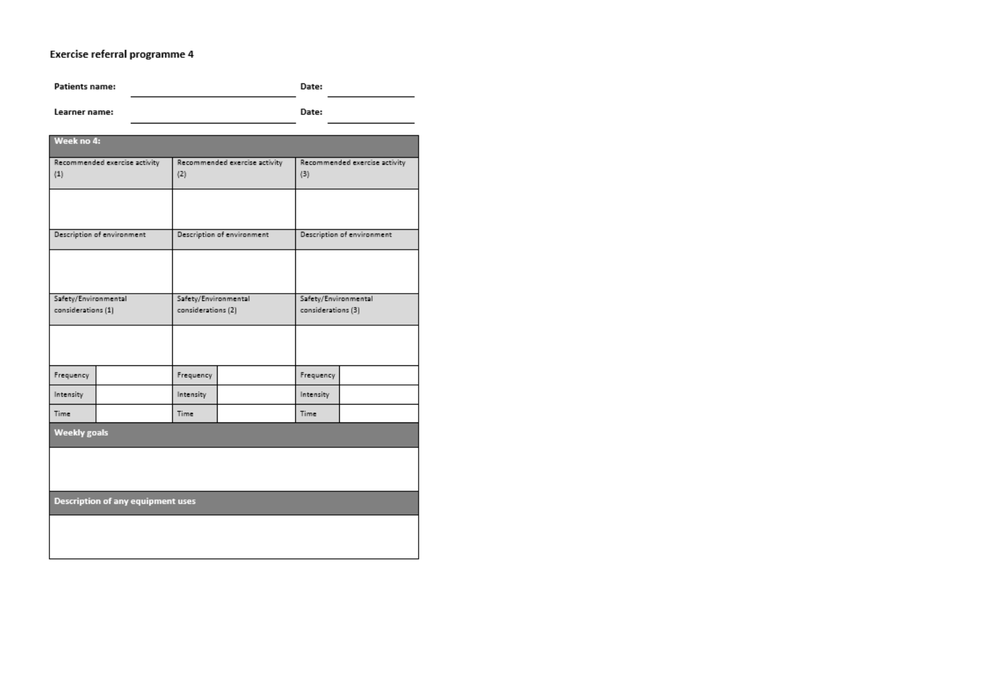# Exercise referral programme 4

**Patients name:** Date:

Learner name:

Date:

| Week no 4:                                 |                                          |                                            |                               |                                            |                            |  |
|--------------------------------------------|------------------------------------------|--------------------------------------------|-------------------------------|--------------------------------------------|----------------------------|--|
| (1)                                        | Recommended exercise activity            | (2)                                        | Recommended exercise activity | Recommended exercise activity<br>(3)       |                            |  |
|                                            |                                          |                                            |                               |                                            |                            |  |
| Description of environment                 |                                          |                                            | Description of environment    |                                            | Description of environment |  |
|                                            |                                          |                                            |                               |                                            |                            |  |
| Safety/Environmental<br>considerations (1) |                                          | Safety/Environmental<br>considerations (2) |                               | Safety/Environmental<br>considerations (3) |                            |  |
|                                            |                                          |                                            |                               |                                            |                            |  |
| Frequency                                  |                                          | Frequency                                  |                               | Frequency                                  |                            |  |
| Intensity                                  |                                          | Intensity                                  |                               | Intensity                                  |                            |  |
| <b>Time</b>                                |                                          | Time.                                      |                               | <b>Time</b>                                |                            |  |
| <b>Weekly goals</b>                        |                                          |                                            |                               |                                            |                            |  |
|                                            |                                          |                                            |                               |                                            |                            |  |
|                                            | <b>Description of any equipment uses</b> |                                            |                               |                                            |                            |  |
|                                            |                                          |                                            |                               |                                            |                            |  |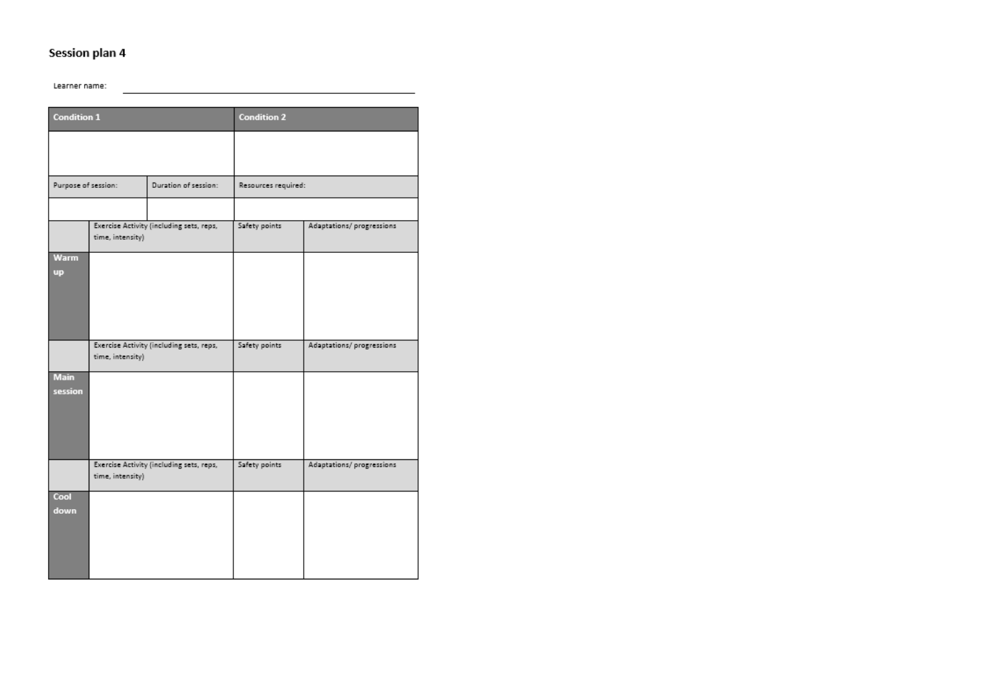# Session plan 4

Learner name:

| <b>Condition 1</b>       |                  |                                          | <b>Condition 2</b>  |                           |
|--------------------------|------------------|------------------------------------------|---------------------|---------------------------|
|                          |                  |                                          |                     |                           |
|                          |                  |                                          |                     |                           |
| Purpose of session:      |                  | Duration of session:                     | Resources required: |                           |
|                          |                  |                                          |                     |                           |
|                          | time, intensity) | Exercise Activity (including sets, reps, | Safety points       | Adaptations/ progressions |
| <b>Warm</b><br><b>up</b> |                  |                                          |                     |                           |
|                          |                  |                                          |                     |                           |
|                          |                  |                                          |                     |                           |
|                          |                  |                                          |                     |                           |
|                          | time, intensity) | Exercise Activity (including sets, reps, | Safety points       | Adaptations/progressions  |
| <b>Main</b>              |                  |                                          |                     |                           |
| session                  |                  |                                          |                     |                           |
|                          |                  |                                          |                     |                           |
|                          |                  |                                          |                     |                           |
|                          |                  |                                          |                     |                           |
|                          |                  |                                          |                     |                           |
|                          |                  | Exercise Activity (including sets, reps, | Safety points       | Adaptations/ progressions |
|                          | time, intensity) |                                          |                     |                           |
| Cool                     |                  |                                          |                     |                           |
| down                     |                  |                                          |                     |                           |
|                          |                  |                                          |                     |                           |
|                          |                  |                                          |                     |                           |
|                          |                  |                                          |                     |                           |
|                          |                  |                                          |                     |                           |
|                          |                  |                                          |                     |                           |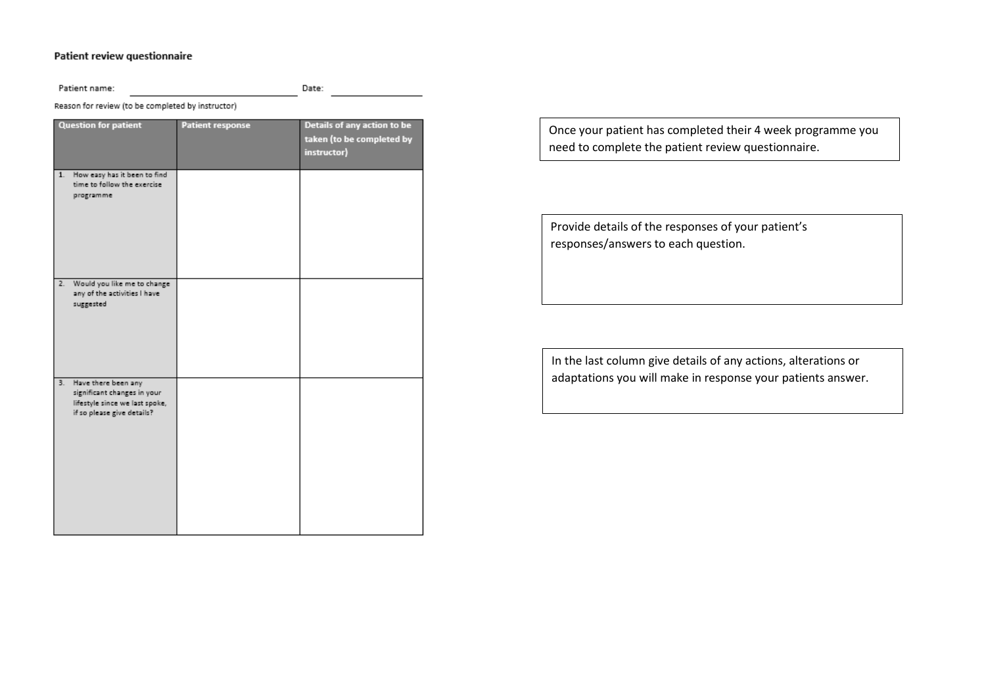# Patient review questionnaire

| Patient name:                                                                                                            |                         | Date:                                                                   |  |  |
|--------------------------------------------------------------------------------------------------------------------------|-------------------------|-------------------------------------------------------------------------|--|--|
| Reason for review (to be completed by instructor)                                                                        |                         |                                                                         |  |  |
| <b>Question for patient</b>                                                                                              | <b>Patient response</b> | Details of any action to be<br>taken (to be completed by<br>instructor) |  |  |
| How easy has it been to find<br>1.<br>time to follow the exercise<br>programme                                           |                         |                                                                         |  |  |
| Would you like me to change<br>2.<br>any of the activities I have<br>suggested                                           |                         |                                                                         |  |  |
| 3.<br>Have there been any<br>significant changes in your<br>lifestyle since we last spoke,<br>if so please give details? |                         |                                                                         |  |  |

Once your patient has completed their 4 week programme you need to complete the patient review questionnaire.

Provide details of the responses of your patient's responses/answers to each question.

In the last column give details of any actions, alterations or adaptations you will make in response your patients answer.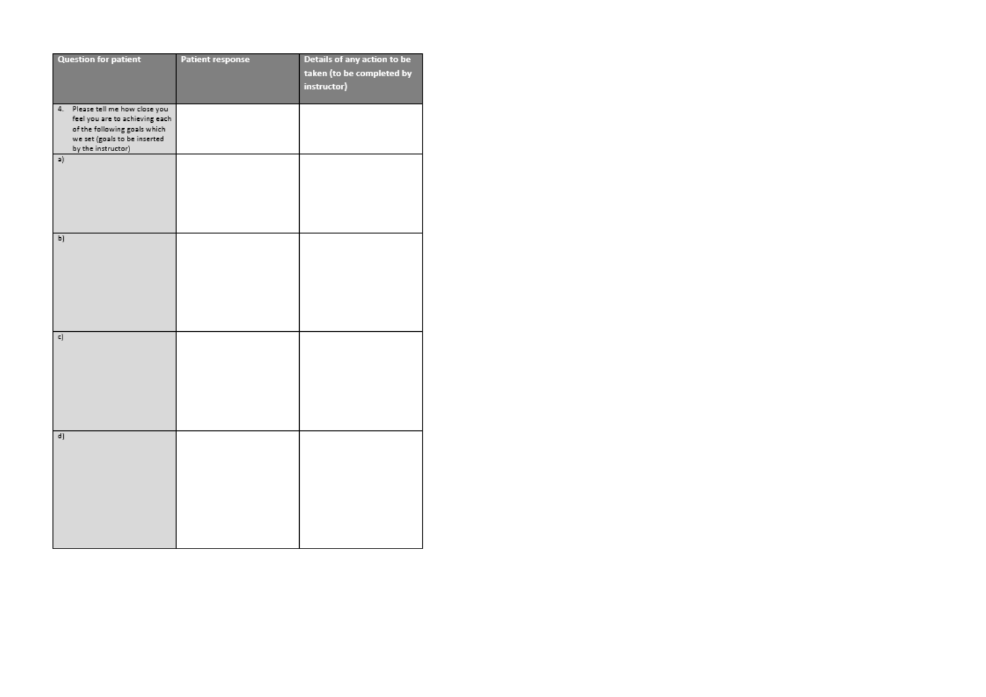| <b>Question for patient</b>        | <b>Patient response</b> | Details of any action to be |
|------------------------------------|-------------------------|-----------------------------|
|                                    |                         | taken (to be completed by   |
|                                    |                         | instructor)                 |
|                                    |                         |                             |
| Please tell me how close you<br>4. |                         |                             |
| feel you are to achieving each     |                         |                             |
| of the following goals which       |                         |                             |
| we set (goals to be inserted       |                         |                             |
| by the instructor)                 |                         |                             |
| a)                                 |                         |                             |
|                                    |                         |                             |
|                                    |                         |                             |
|                                    |                         |                             |
|                                    |                         |                             |
|                                    |                         |                             |
|                                    |                         |                             |
| b)                                 |                         |                             |
|                                    |                         |                             |
|                                    |                         |                             |
|                                    |                         |                             |
|                                    |                         |                             |
|                                    |                         |                             |
|                                    |                         |                             |
|                                    |                         |                             |
| c]                                 |                         |                             |
|                                    |                         |                             |
|                                    |                         |                             |
|                                    |                         |                             |
|                                    |                         |                             |
|                                    |                         |                             |
|                                    |                         |                             |
|                                    |                         |                             |
| d)                                 |                         |                             |
|                                    |                         |                             |
|                                    |                         |                             |
|                                    |                         |                             |
|                                    |                         |                             |
|                                    |                         |                             |
|                                    |                         |                             |
|                                    |                         |                             |
|                                    |                         |                             |
|                                    |                         |                             |
|                                    |                         |                             |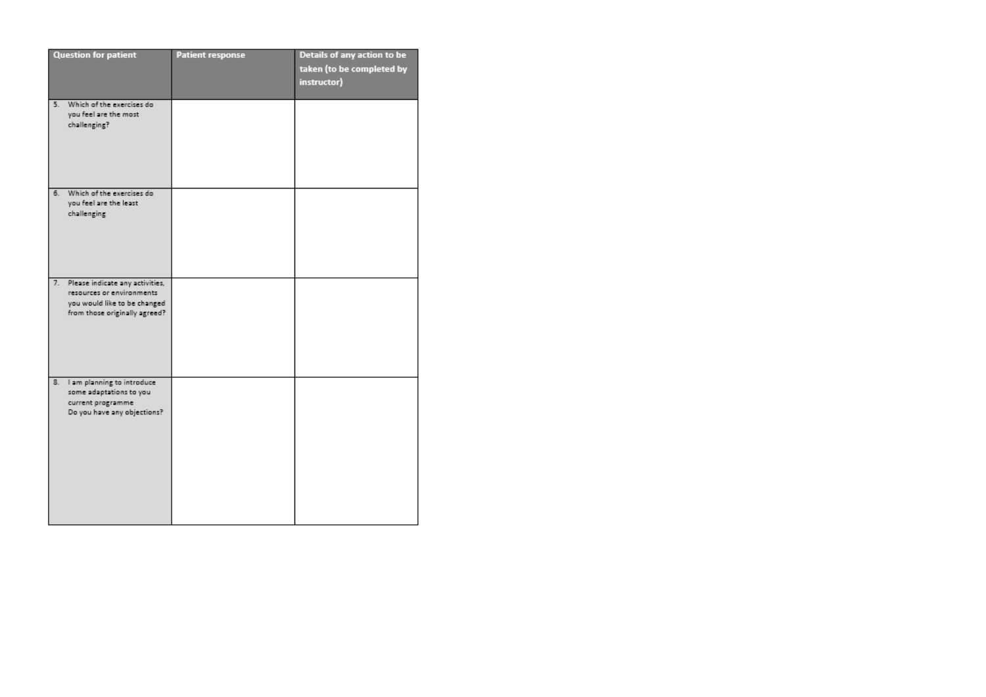| <b>Question for patient</b>                                        | <b>Patient response</b> | Details of any action to be |
|--------------------------------------------------------------------|-------------------------|-----------------------------|
|                                                                    |                         | taken (to be completed by   |
|                                                                    |                         | instructor)                 |
|                                                                    |                         |                             |
| 5.<br>Which of the exercises do                                    |                         |                             |
| you feel are the most                                              |                         |                             |
| challenging?                                                       |                         |                             |
|                                                                    |                         |                             |
|                                                                    |                         |                             |
|                                                                    |                         |                             |
|                                                                    |                         |                             |
|                                                                    |                         |                             |
| Which of the exercises do<br>6.                                    |                         |                             |
| you feel are the least                                             |                         |                             |
| challenging                                                        |                         |                             |
|                                                                    |                         |                             |
|                                                                    |                         |                             |
|                                                                    |                         |                             |
|                                                                    |                         |                             |
|                                                                    |                         |                             |
| Please indicate any activities,<br>7.<br>resources or environments |                         |                             |
| you would like to be changed                                       |                         |                             |
| from those originally agreed?                                      |                         |                             |
|                                                                    |                         |                             |
|                                                                    |                         |                             |
|                                                                    |                         |                             |
|                                                                    |                         |                             |
|                                                                    |                         |                             |
| 8.<br>I am planning to introduce                                   |                         |                             |
| some adaptations to you                                            |                         |                             |
| current programme                                                  |                         |                             |
| Do you have any objections?                                        |                         |                             |
|                                                                    |                         |                             |
|                                                                    |                         |                             |
|                                                                    |                         |                             |
|                                                                    |                         |                             |
|                                                                    |                         |                             |
|                                                                    |                         |                             |
|                                                                    |                         |                             |
|                                                                    |                         |                             |
|                                                                    |                         |                             |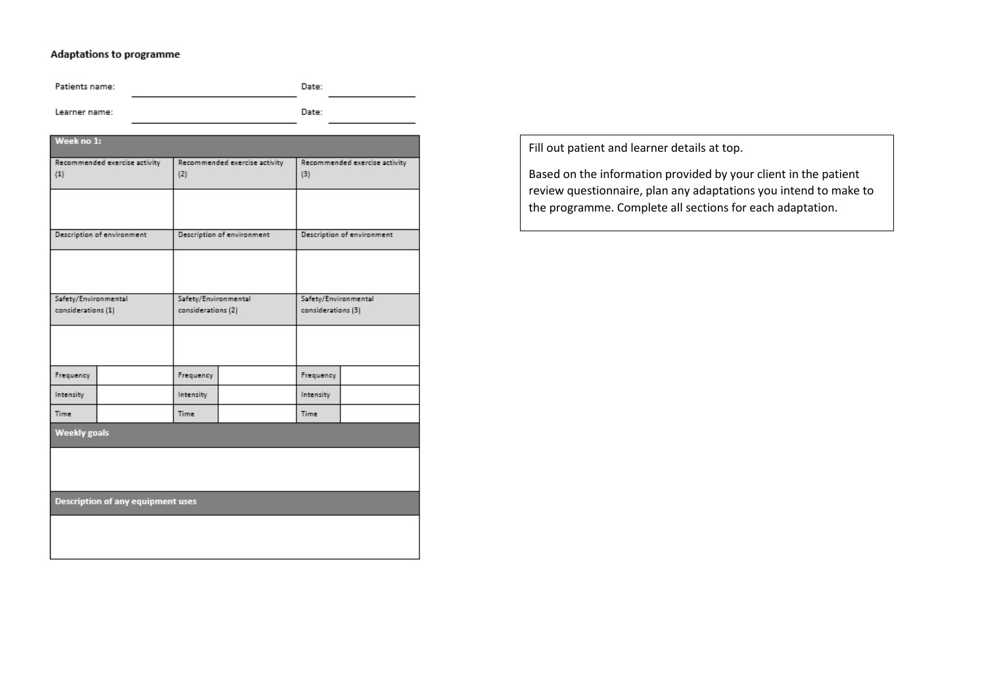# Adaptations to programme

Patients name: Date:

Learner name:

**Contract Contract** 

Date:

| <b>WEEK NO 1:</b>    |                                          |                      |                               |                      |                               |  |  |
|----------------------|------------------------------------------|----------------------|-------------------------------|----------------------|-------------------------------|--|--|
|                      | Recommended exercise activity            |                      | Recommended exercise activity |                      | Recommended exercise activity |  |  |
| (1)                  |                                          | (2)                  |                               | (3)                  |                               |  |  |
|                      |                                          |                      |                               |                      |                               |  |  |
|                      |                                          |                      |                               |                      |                               |  |  |
|                      | Description of environment               |                      | Description of environment    |                      | Description of environment    |  |  |
|                      |                                          |                      |                               |                      |                               |  |  |
|                      |                                          |                      |                               |                      |                               |  |  |
| Safety/Environmental |                                          | Safety/Environmental |                               | Safety/Environmental |                               |  |  |
| considerations (1)   |                                          | considerations (2)   |                               | considerations (3)   |                               |  |  |
|                      |                                          |                      |                               |                      |                               |  |  |
|                      |                                          |                      |                               |                      |                               |  |  |
| Frequency            |                                          | Frequency            |                               | Frequency            |                               |  |  |
| Intensity            |                                          | Intensity            |                               | Intensity            |                               |  |  |
| Time                 |                                          | Time                 |                               | Time                 |                               |  |  |
| <b>Weekly goals</b>  |                                          |                      |                               |                      |                               |  |  |
|                      |                                          |                      |                               |                      |                               |  |  |
|                      |                                          |                      |                               |                      |                               |  |  |
|                      | <b>Description of any equipment uses</b> |                      |                               |                      |                               |  |  |
|                      |                                          |                      |                               |                      |                               |  |  |
|                      |                                          |                      |                               |                      |                               |  |  |

Fill out patient and learner details at top.

Based on the information provided by your client in the patient review questionnaire, plan any adaptations you intend to make to the programme. Complete all sections for each adaptation.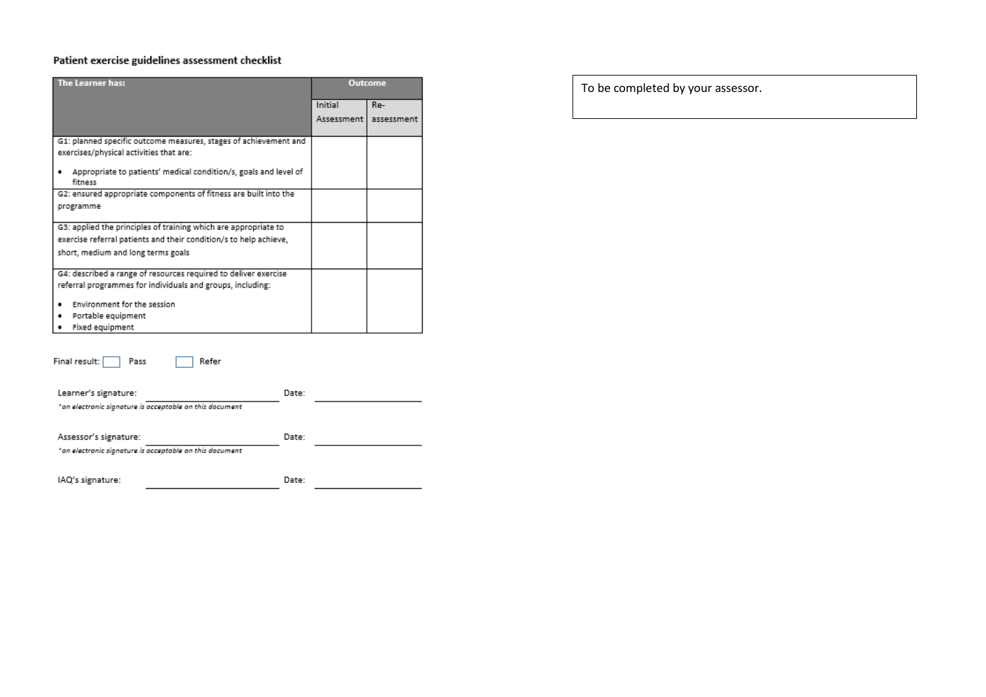# Patient exercise guidelines assessment checklist

| The Learner has:                                                            |            | <b>Outcome</b> |
|-----------------------------------------------------------------------------|------------|----------------|
|                                                                             | Initial    | Re-            |
|                                                                             | Assessment | assessment     |
|                                                                             |            |                |
| G1: planned specific outcome measures, stages of achievement and            |            |                |
| exercises/physical activities that are:                                     |            |                |
| Appropriate to patients' medical condition/s, goals and level of<br>fitness |            |                |
| G2: ensured appropriate components of fitness are built into the            |            |                |
| programme                                                                   |            |                |
| G3: applied the principles of training which are appropriate to             |            |                |
| exercise referral patients and their condition/s to help achieve,           |            |                |
| short, medium and long terms goals                                          |            |                |
|                                                                             |            |                |
| G4: described a range of resources required to deliver exercise             |            |                |
| referral programmes for individuals and groups, including:                  |            |                |
| Environment for the session                                                 |            |                |
| Portable equipment                                                          |            |                |
| Fixed equipment                                                             |            |                |
|                                                                             |            |                |
| Final result:<br>Refer<br>Pass                                              |            |                |
| Learner's signature:<br>Date:                                               |            |                |
| *an electronic signature is acceptable on this document                     |            |                |
| Assessor's signature:<br>Date:                                              |            |                |
| *an electronic signature is acceptable on this document                     |            |                |
|                                                                             |            |                |

IAQ's signature: Date: To be completed by your assessor.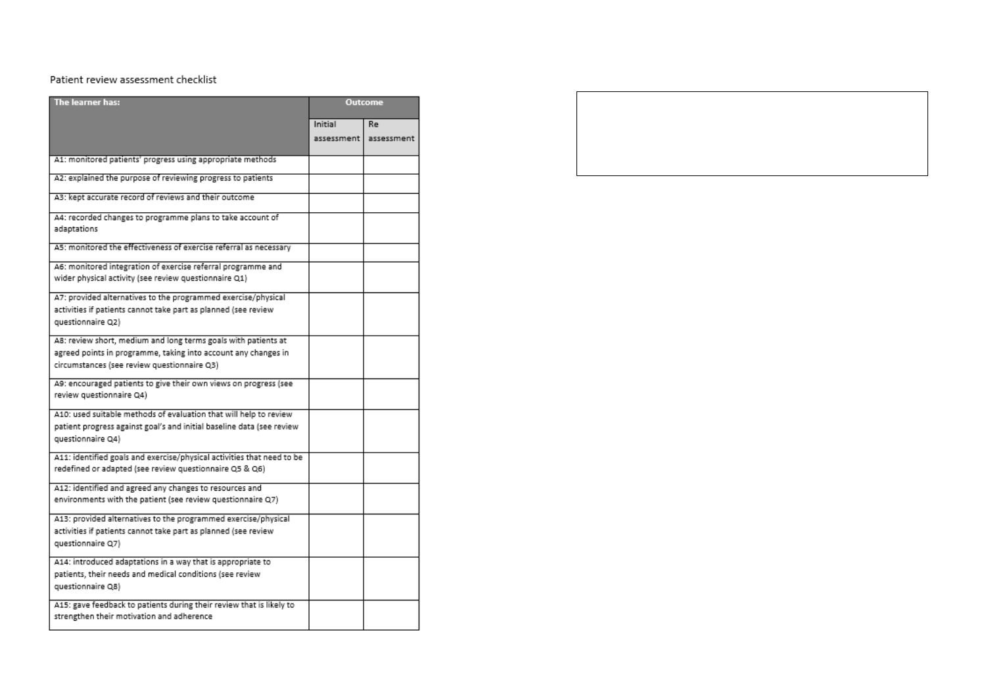## Patient review assessment checklist

| The learner has:                                                                                                                                                                |            | <b>Outcome</b> |
|---------------------------------------------------------------------------------------------------------------------------------------------------------------------------------|------------|----------------|
|                                                                                                                                                                                 | Initial    | Re             |
|                                                                                                                                                                                 | assessment | assessment     |
| A1: monitored patients' progress using appropriate methods                                                                                                                      |            |                |
| A2: explained the purpose of reviewing progress to patients                                                                                                                     |            |                |
| A3: kept accurate record of reviews and their outcome                                                                                                                           |            |                |
| A4: recorded changes to programme plans to take account of<br>adaptations                                                                                                       |            |                |
| A5: monitored the effectiveness of exercise referral as necessary                                                                                                               |            |                |
| A6: monitored integration of exercise referral programme and<br>wider physical activity (see review questionnaire Q1)                                                           |            |                |
| A7: provided alternatives to the programmed exercise/physical<br>activities if patients cannot take part as planned (see review<br>questionnaire Q2)                            |            |                |
| A8: review short, medium and long terms goals with patients at<br>agreed points in programme, taking into account any changes in<br>circumstances (see review questionnaire Q3) |            |                |
| A9: encouraged patients to give their own views on progress (see<br>review questionnaire Q4)                                                                                    |            |                |
| A10: used suitable methods of evaluation that will help to review<br>patient progress against goal's and initial baseline data (see review<br>questionnaire Q4)                 |            |                |
| A11: identified goals and exercise/physical activities that need to be<br>redefined or adapted (see review questionnaire Q5 & Q6)                                               |            |                |
| A12: identified and agreed any changes to resources and<br>environments with the patient (see review questionnaire Q7)                                                          |            |                |
| A13: provided alternatives to the programmed exercise/physical<br>activities if patients cannot take part as planned (see review<br>questionnaire Q7)                           |            |                |
| A14: introduced adaptations in a way that is appropriate to<br>patients, their needs and medical conditions (see review<br>questionnaire Q8)                                    |            |                |
| A15: gave feedback to patients during their review that is likely to<br>strengthen their motivation and adherence                                                               |            |                |

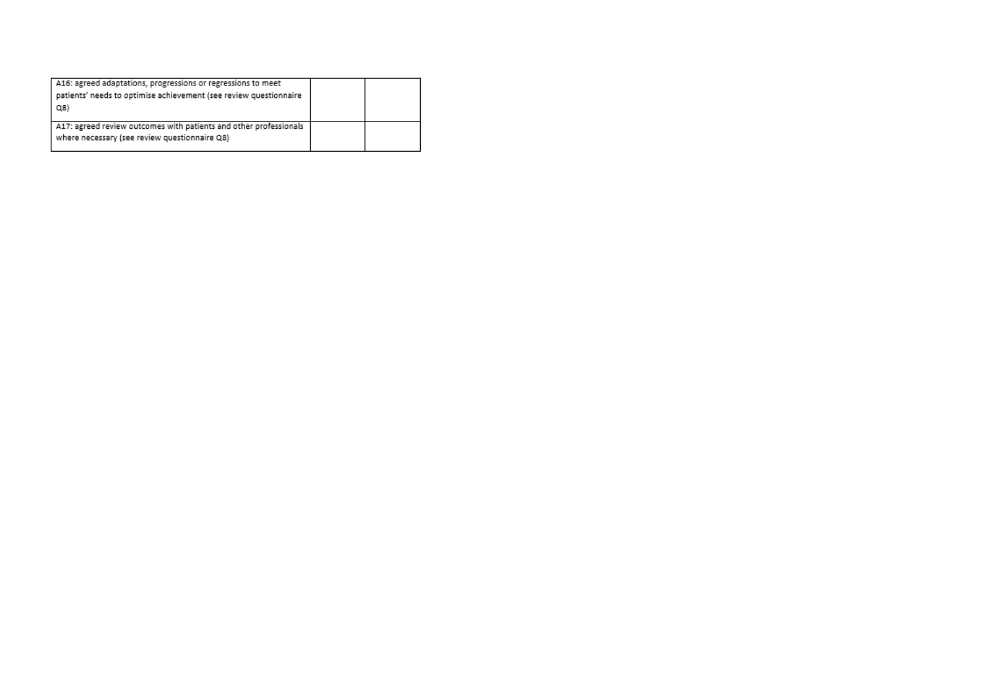| A16: agreed adaptations, progressions or regressions to meet<br>patients' needs to optimise achievement (see review questionnaire<br>Q8) |  |
|------------------------------------------------------------------------------------------------------------------------------------------|--|
| A17: agreed review outcomes with patients and other professionals<br>where necessary (see review questionnaire Q8)                       |  |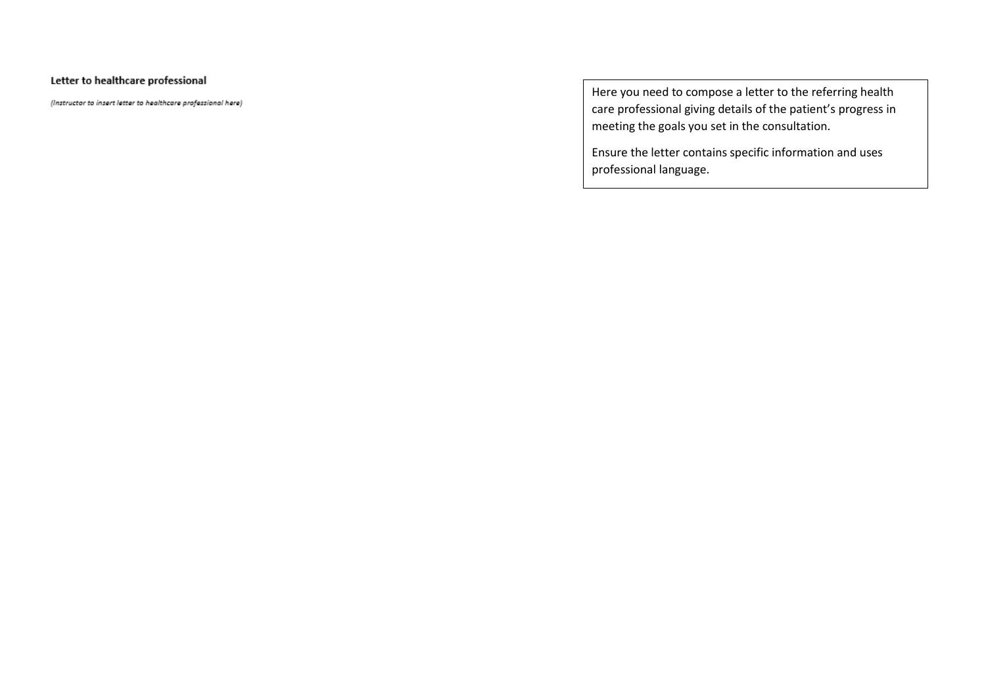# Letter to healthcare professional

(Instructor to insert letter to healthcare professional here)

Here you need to compose a letter to the referring health care professional giving details of the patient's progress in meeting the goals you set in the consultation.

Ensure the letter contains specific information and uses professional language.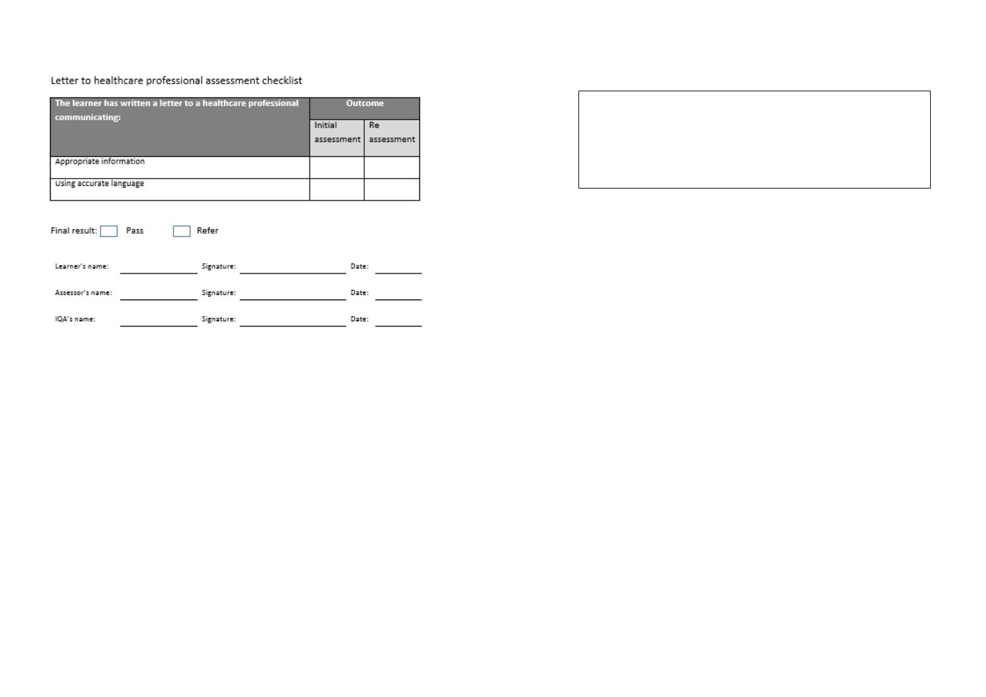## Letter to healthcare professional assessment checklist

| The learner has written a letter to a healthcare professional<br>communicating: |      | Outcome    |  |            |            |
|---------------------------------------------------------------------------------|------|------------|--|------------|------------|
|                                                                                 |      |            |  | Initial    | Re         |
|                                                                                 |      |            |  | assessment | assessment |
| Appropriate information                                                         |      |            |  |            |            |
| Using accurate language                                                         |      |            |  |            |            |
| Final result:                                                                   | Pass | Refer      |  |            |            |
| Learner's name:                                                                 |      | Signature: |  | Date:      |            |
| Assessor's name:                                                                |      | Signature: |  | Date:      |            |
| IQA's name:                                                                     |      | Signature: |  | Date:      |            |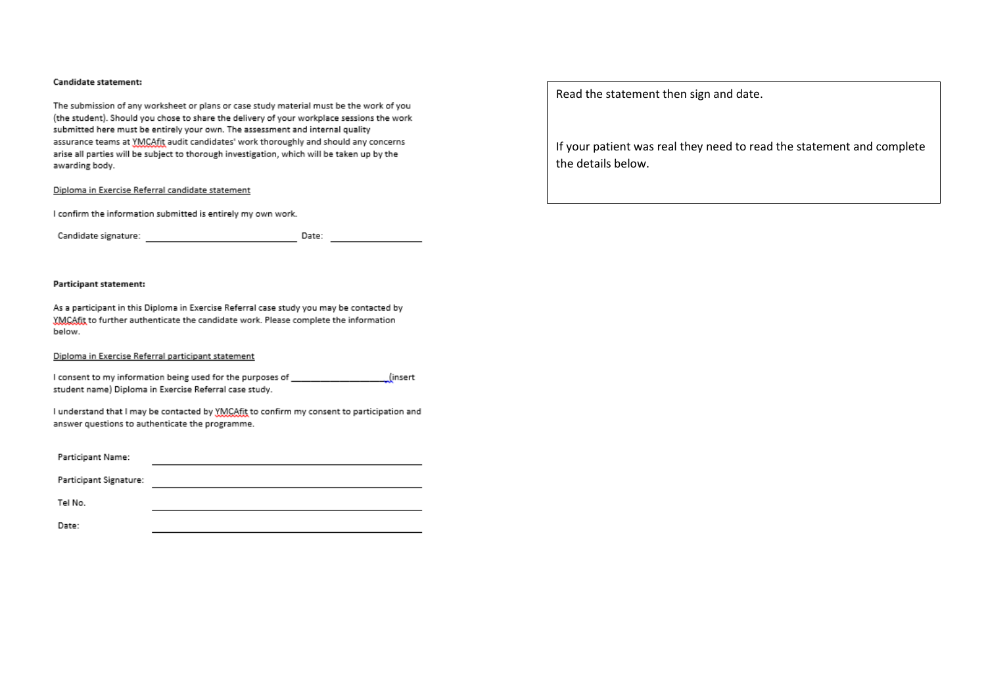#### **Candidate statement:**

The submission of any worksheet or plans or case study material must be the work of you (the student). Should you chose to share the delivery of your workplace sessions the work submitted here must be entirely your own. The assessment and internal quality assurance teams at YMCAfit audit candidates' work thoroughly and should any concerns arise all parties will be subject to thorough investigation, which will be taken up by the awarding body.

#### Diploma in Exercise Referral candidate statement

I confirm the information submitted is entirely my own work.

Candidate signature: Wallet and Sandidate signature 

#### Participant statement:

As a participant in this Diploma in Exercise Referral case study you may be contacted by YMCAfit to further authenticate the candidate work. Please complete the information below.

#### Diploma in Exercise Referral participant statement

I consent to my information being used for the purposes of \_\_\_\_\_\_\_\_\_\_\_\_\_\_\_\_\_\_\_\_(insert student name) Diploma in Exercise Referral case study.

I understand that I may be contacted by YMCAfit to confirm my consent to participation and answer questions to authenticate the programme.

Participant Signature: <u> 1989 - Johann Barbara, martxa eta batailaria (h. 1989).</u>

Tel No.

Date:

Read the statement then sign and date.

If your patient was real they need to read the statement and complete the details below.